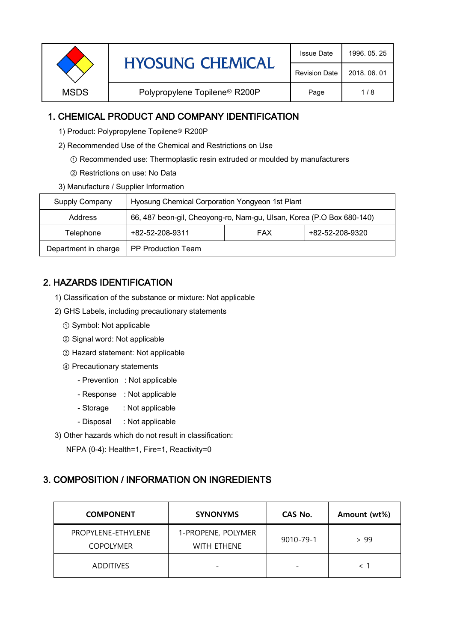| <b>Revision Date</b> |             | <b>HYOSUNG CHEMICAL</b>                   |              | 1996, 05, 25 |
|----------------------|-------------|-------------------------------------------|--------------|--------------|
|                      |             |                                           | 2018, 06, 01 |              |
|                      | <b>MSDS</b> | Polypropylene Topilene <sup>®</sup> R200P | Page         | 1/8          |

### 1. CHEMICAL PRODUCT AND COMPANY IDENTIFICATION

- 1) Product: Polypropylene Topilene<sup>®</sup> R200P
- 2) Recommended Use of the Chemical and Restrictions on Use
	- ① Recommended use: Thermoplastic resin extruded or moulded by manufacturers
	- ② Restrictions on use: No Data
- 3) Manufacture / Supplier Information

| Supply Company       | Hyosung Chemical Corporation Yongyeon 1st Plant                       |            |                 |  |
|----------------------|-----------------------------------------------------------------------|------------|-----------------|--|
| Address              | 66, 487 beon-gil, Cheoyong-ro, Nam-gu, Ulsan, Korea (P.O Box 680-140) |            |                 |  |
| Telephone            | +82-52-208-9311                                                       | <b>FAX</b> | +82-52-208-9320 |  |
| Department in charge | <b>PP Production Team</b>                                             |            |                 |  |

# 2. HAZARDS IDENTIFICATION

- 1) Classification of the substance or mixture: Not applicable
- 2) GHS Labels, including precautionary statements
	- ① Symbol: Not applicable
	- ② Signal word: Not applicable
	- ③ Hazard statement: Not applicable
	- ④ Precautionary statements
		- Prevention : Not applicable
		- Response : Not applicable
		- Storage : Not applicable
		- Disposal : Not applicable
- 3) Other hazards which do not result in classification:

NFPA (0-4): Health=1, Fire=1, Reactivity=0

#### 3. COMPOSITION / INFORMATION ON INGREDIENTS

| <b>COMPONENT</b>                       | <b>SYNONYMS</b>                          | CAS No.                  | Amount (wt%) |
|----------------------------------------|------------------------------------------|--------------------------|--------------|
| PROPYLENE-ETHYLENE<br><b>COPOLYMER</b> | 1-PROPENE, POLYMER<br><b>WITH ETHENE</b> | 9010-79-1                | > 99         |
| <b>ADDITIVES</b>                       |                                          | $\overline{\phantom{0}}$ |              |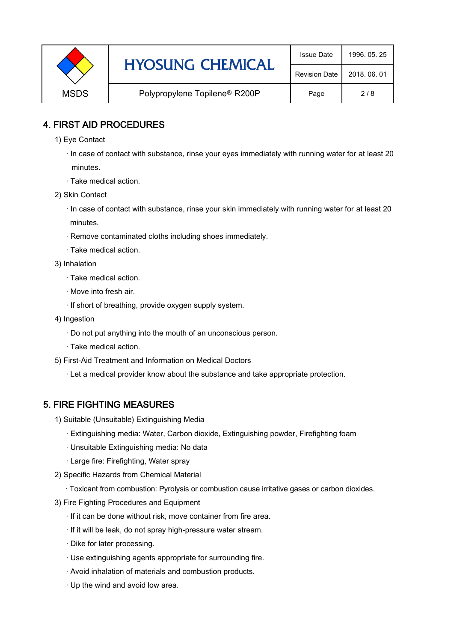|             | <b>HYOSUNG CHEMICAL</b>                   | <b>Issue Date</b>    | 1996, 05, 25 |
|-------------|-------------------------------------------|----------------------|--------------|
|             |                                           | <b>Revision Date</b> | 2018, 06, 01 |
| <b>MSDS</b> | Polypropylene Topilene <sup>®</sup> R200P | Page                 | 2/8          |

### 4. FIRST AID PROCEDURES

1) Eye Contact

 · In case of contact with substance, rinse your eyes immediately with running water for at least 20 minutes.

- · Take medical action.
- 2) Skin Contact
	- · In case of contact with substance, rinse your skin immediately with running water for at least 20 minutes.
	- · Remove contaminated cloths including shoes immediately.
	- · Take medical action.
- 3) Inhalation
	- · Take medical action.
	- · Move into fresh air.
	- · If short of breathing, provide oxygen supply system.
- 4) Ingestion
	- · Do not put anything into the mouth of an unconscious person.
	- · Take medical action.
- 5) First-Aid Treatment and Information on Medical Doctors
	- · Let a medical provider know about the substance and take appropriate protection.

#### 5. FIRE FIGHTING MEASURES

- 1) Suitable (Unsuitable) Extinguishing Media
	- · Extinguishing media: Water, Carbon dioxide, Extinguishing powder, Firefighting foam
	- · Unsuitable Extinguishing media: No data
	- · Large fire: Firefighting, Water spray
- 2) Specific Hazards from Chemical Material
	- · Toxicant from combustion: Pyrolysis or combustion cause irritative gases or carbon dioxides.
- 3) Fire Fighting Procedures and Equipment
	- · If it can be done without risk, move container from fire area.
	- · If it will be leak, do not spray high-pressure water stream.
	- · Dike for later processing.
	- · Use extinguishing agents appropriate for surrounding fire.
	- · Avoid inhalation of materials and combustion products.
	- · Up the wind and avoid low area.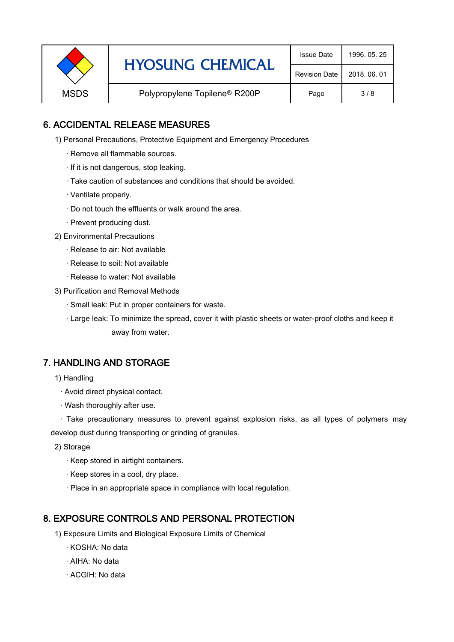|             | <b>HYOSUNG CHEMICAL</b>                   | <b>Issue Date</b> | 1996, 05, 25 |
|-------------|-------------------------------------------|-------------------|--------------|
|             | <b>Revision Date</b>                      | 2018, 06, 01      |              |
| <b>MSDS</b> | Polypropylene Topilene <sup>®</sup> R200P | Page              | 3/8          |

## 6. ACCIDENTAL RELEASE MEASURES

- 1) Personal Precautions, Protective Equipment and Emergency Procedures
	- · Remove all flammable sources.
	- · If it is not dangerous, stop leaking.
	- · Take caution of substances and conditions that should be avoided.
	- · Ventilate properly.
	- · Do not touch the effluents or walk around the area.
	- · Prevent producing dust.
- 2) Environmental Precautions
	- · Release to air: Not available
	- · Release to soil: Not available
	- · Release to water: Not available
- 3) Purification and Removal Methods
	- · Small leak: Put in proper containers for waste.
	- ,· Large leak: To minimize the spread, cover it with plastic sheets or water-proof cloths and keep it away from water.

#### 7. HANDLING AND STORAGE

- 1) Handling
	- · Avoid direct physical contact.
	- · Wash thoroughly after use.

· Take precautionary measures to prevent against explosion risks, as all types of polymers may develop dust during transporting or grinding of granules.

- 2) Storage
	- · Keep stored in airtight containers.
	- · Keep stores in a cool, dry place.
	- · Place in an appropriate space in compliance with local regulation.

#### 8. EXPOSURE CONTROLS AND PERSONAL PROTECTION

- 1) Exposure Limits and Biological Exposure Limits of Chemical
	- · KOSHA: No data
	- · AIHA: No data
	- · ACGIH: No data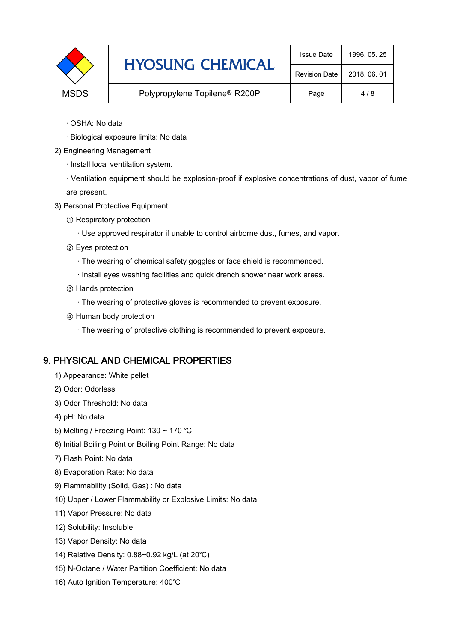|             | <b>HYOSUNG CHEMICAL</b>                   | <b>Issue Date</b>    | 1996, 05, 25 |
|-------------|-------------------------------------------|----------------------|--------------|
|             |                                           | <b>Revision Date</b> | 2018, 06, 01 |
| <b>MSDS</b> | Polypropylene Topilene <sup>®</sup> R200P | Page                 | 4/8          |

- · OSHA: No data
- · Biological exposure limits: No data
- 2) Engineering Management
	- · Install local ventilation system.

· Ventilation equipment should be explosion-proof if explosive concentrations of dust, vapor of fume are present.

- 3) Personal Protective Equipment
	- ① Respiratory protection
		- · Use approved respirator if unable to control airborne dust, fumes, and vapor.
	- ② Eyes protection
		- · The wearing of chemical safety goggles or face shield is recommended.
		- · Install eyes washing facilities and quick drench shower near work areas.
	- ③ Hands protection
		- · The wearing of protective gloves is recommended to prevent exposure.
	- ④ Human body protection
		- · The wearing of protective clothing is recommended to prevent exposure.

## 9. PHYSICAL AND CHEMICAL PROPERTIES

- 1) Appearance: White pellet
- 2) Odor: Odorless
- 3) Odor Threshold: No data
- 4) pH: No data
- 5) Melting / Freezing Point: 130 ~ 170 ℃
- 6) Initial Boiling Point or Boiling Point Range: No data
- 7) Flash Point: No data
- 8) Evaporation Rate: No data
- 9) Flammability (Solid, Gas) : No data
- 10) Upper / Lower Flammability or Explosive Limits: No data
- 11) Vapor Pressure: No data
- 12) Solubility: Insoluble
- 13) Vapor Density: No data
- 14) Relative Density: 0.88~0.92 kg/L (at 20℃)
- 15) N-Octane / Water Partition Coefficient: No data
- 16) Auto Ignition Temperature: 400℃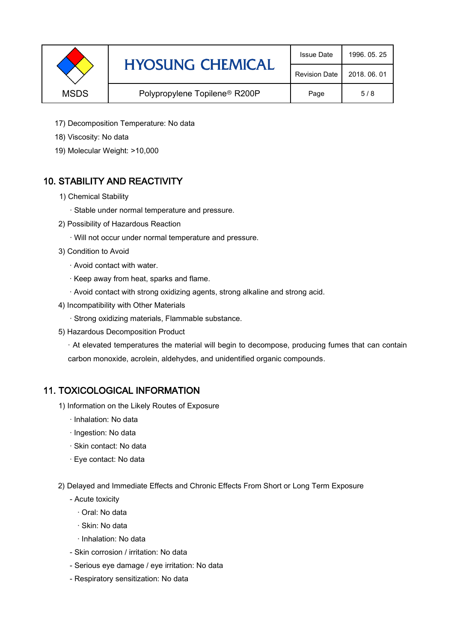|             | <b>HYOSUNG CHEMICAL</b>                   | <b>Issue Date</b>    | 1996, 05, 25 |
|-------------|-------------------------------------------|----------------------|--------------|
|             |                                           | <b>Revision Date</b> | 2018, 06, 01 |
| <b>MSDS</b> | Polypropylene Topilene <sup>®</sup> R200P | Page                 | 5/8          |

- 17) Decomposition Temperature: No data
- 18) Viscosity: No data
- 19) Molecular Weight: >10,000

## 10. STABILITY AND REACTIVITY

- 1) Chemical Stability
	- · Stable under normal temperature and pressure.
- 2) Possibility of Hazardous Reaction
	- · Will not occur under normal temperature and pressure.
- 3) Condition to Avoid
	- · Avoid contact with water.
	- · Keep away from heat, sparks and flame.
	- · Avoid contact with strong oxidizing agents, strong alkaline and strong acid.
- 4) Incompatibility with Other Materials
	- · Strong oxidizing materials, Flammable substance.
- 5) Hazardous Decomposition Product

· At elevated temperatures the material will begin to decompose, producing fumes that can contain carbon monoxide, acrolein, aldehydes, and unidentified organic compounds.

#### 11. TOXICOLOGICAL INFORMATION

- 1) Information on the Likely Routes of Exposure
	- · Inhalation: No data
	- · Ingestion: No data
	- · Skin contact: No data
	- · Eye contact: No data
- 2) Delayed and Immediate Effects and Chronic Effects From Short or Long Term Exposure
	- Acute toxicity
		- · Oral: No data
		- · Skin: No data
		- · Inhalation: No data
	- Skin corrosion / irritation: No data
	- Serious eye damage / eye irritation: No data
	- Respiratory sensitization: No data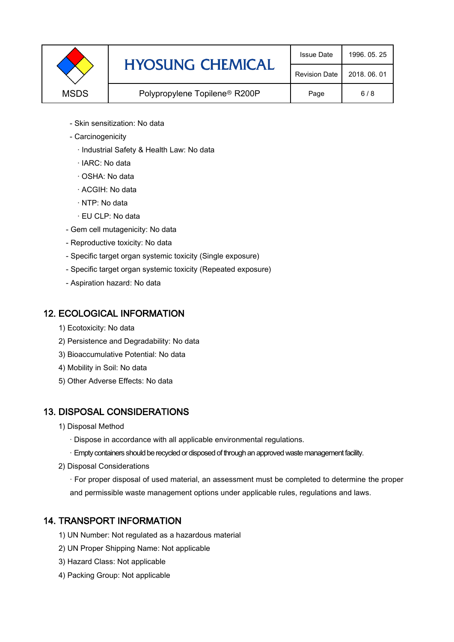|             | <b>HYOSUNG CHEMICAL</b>                   | <b>Issue Date</b>    | 1996, 05, 25 |
|-------------|-------------------------------------------|----------------------|--------------|
|             |                                           | <b>Revision Date</b> | 2018, 06, 01 |
| <b>MSDS</b> | Polypropylene Topilene <sup>®</sup> R200P | Page                 | 6/8          |

- Skin sensitization: No data
- Carcinogenicity
	- · Industrial Safety & Health Law: No data
	- · IARC: No data
	- · OSHA: No data
	- · ACGIH: No data
	- · NTP: No data
	- · EU CLP: No data
- Gem cell mutagenicity: No data
- Reproductive toxicity: No data
- Specific target organ systemic toxicity (Single exposure)
- Specific target organ systemic toxicity (Repeated exposure)
- Aspiration hazard: No data

#### 12. ECOLOGICAL INFORMATION

- 1) Ecotoxicity: No data
- 2) Persistence and Degradability: No data
- 3) Bioaccumulative Potential: No data
- 4) Mobility in Soil: No data
- 5) Other Adverse Effects: No data

## 13. DISPOSAL CONSIDERATIONS

- 1) Disposal Method
	- · Dispose in accordance with all applicable environmental regulations.
	- · Empty containers should be recycled or disposed of through an approved waste management facility.
- 2) Disposal Considerations
	- · For proper disposal of used material, an assessment must be completed to determine the proper and permissible waste management options under applicable rules, regulations and laws.

## 14. TRANSPORT INFORMATION

- 1) UN Number: Not regulated as a hazardous material
- 2) UN Proper Shipping Name: Not applicable
- 3) Hazard Class: Not applicable
- 4) Packing Group: Not applicable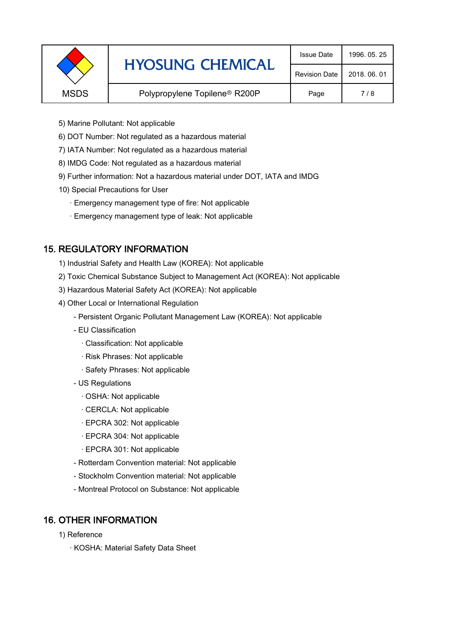|             | <b>HYOSUNG CHEMICAL</b>                   | <b>Issue Date</b>    | 1996, 05, 25 |
|-------------|-------------------------------------------|----------------------|--------------|
|             |                                           | <b>Revision Date</b> | 2018, 06, 01 |
| <b>MSDS</b> | Polypropylene Topilene <sup>®</sup> R200P | Page                 | 7/8          |
|             |                                           |                      |              |

- 5) Marine Pollutant: Not applicable
- 6) DOT Number: Not regulated as a hazardous material
- 7) IATA Number: Not regulated as a hazardous material
- 8) IMDG Code: Not regulated as a hazardous material
- 9) Further information: Not a hazardous material under DOT, IATA and IMDG
- 10) Special Precautions for User
	- · Emergency management type of fire: Not applicable
	- · Emergency management type of leak: Not applicable

## 15. REGULATORY INFORMATION

- 1) Industrial Safety and Health Law (KOREA): Not applicable
- 2) Toxic Chemical Substance Subject to Management Act (KOREA): Not applicable
- 3) Hazardous Material Safety Act (KOREA): Not applicable
- 4) Other Local or International Regulation
	- Persistent Organic Pollutant Management Law (KOREA): Not applicable
	- EU Classification
		- · Classification: Not applicable
		- · Risk Phrases: Not applicable
		- · Safety Phrases: Not applicable
	- US Regulations
		- · OSHA: Not applicable
		- · CERCLA: Not applicable
		- · EPCRA 302: Not applicable
		- · EPCRA 304: Not applicable
		- · EPCRA 301: Not applicable
	- Rotterdam Convention material: Not applicable
	- Stockholm Convention material: Not applicable
	- Montreal Protocol on Substance: Not applicable

## 16. OTHER INFORMATION

- 1) Reference
	- · KOSHA: Material Safety Data Sheet